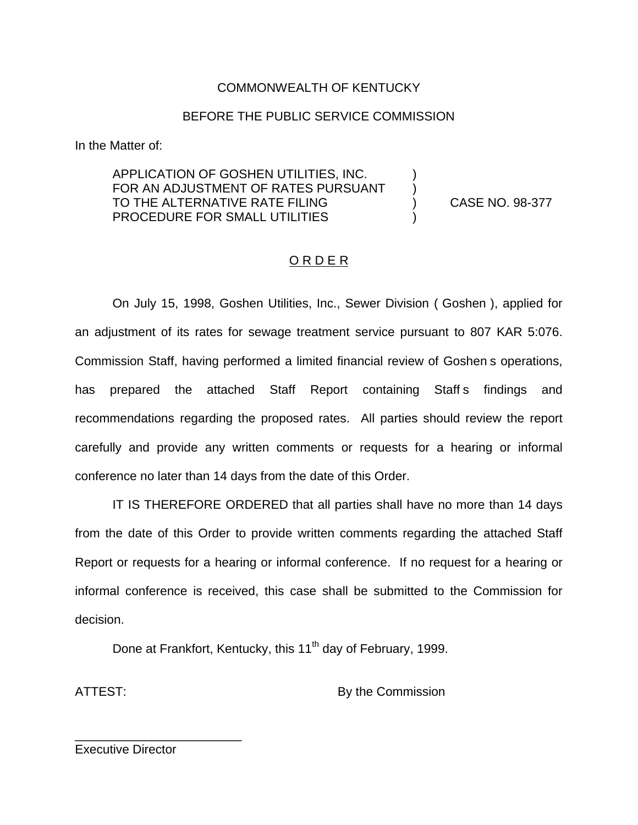# COMMONWEALTH OF KENTUCKY

### BEFORE THE PUBLIC SERVICE COMMISSION

In the Matter of:

### APPLICATION OF GOSHEN UTILITIES, INC. ) FOR AN ADJUSTMENT OF RATES PURSUANT TO THE ALTERNATIVE RATE FILING BETTHE RATE ON A CASE NO. 98-377 PROCEDURE FOR SMALL UTILITIES

## O R D E R

On July 15, 1998, Goshen Utilities, Inc., Sewer Division ( Goshen ), applied for an adjustment of its rates for sewage treatment service pursuant to 807 KAR 5:076. Commission Staff, having performed a limited financial review of Goshen s operations, has prepared the attached Staff Report containing Staff s findings and recommendations regarding the proposed rates. All parties should review the report carefully and provide any written comments or requests for a hearing or informal conference no later than 14 days from the date of this Order.

IT IS THEREFORE ORDERED that all parties shall have no more than 14 days from the date of this Order to provide written comments regarding the attached Staff Report or requests for a hearing or informal conference. If no request for a hearing or informal conference is received, this case shall be submitted to the Commission for decision.

Done at Frankfort, Kentucky, this 11<sup>th</sup> day of February, 1999.

ATTEST: By the Commission

Executive Director

\_\_\_\_\_\_\_\_\_\_\_\_\_\_\_\_\_\_\_\_\_\_\_\_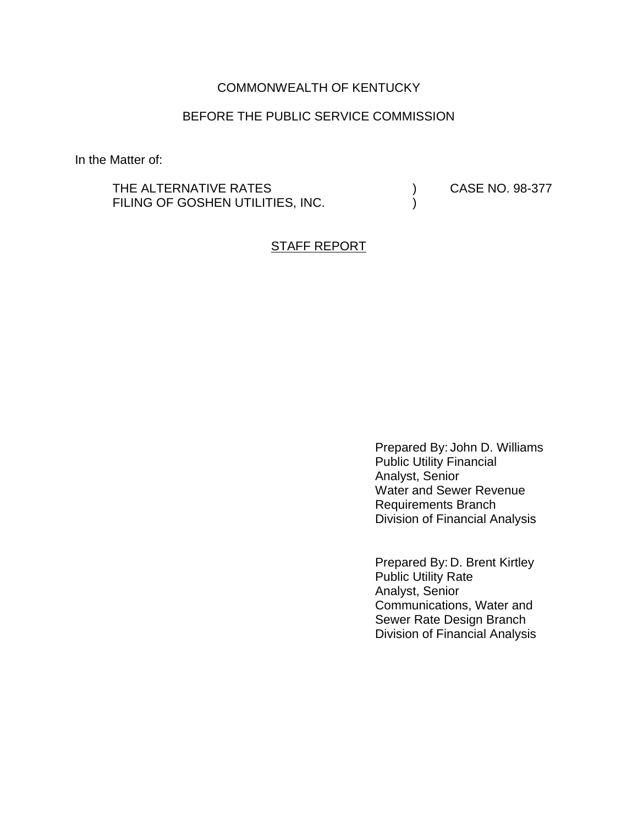## COMMONWEALTH OF KENTUCKY

## BEFORE THE PUBLIC SERVICE COMMISSION

In the Matter of:

THE ALTERNATIVE RATES (2008) CASE NO. 98-377 FILING OF GOSHEN UTILITIES, INC.  $($ 

### STAFF REPORT

Prepared By: John D. Williams Public Utility Financial Analyst, Senior Water and Sewer Revenue Requirements Branch Division of Financial Analysis

Prepared By: D. Brent Kirtley Public Utility Rate Analyst, Senior Communications, Water and Sewer Rate Design Branch Division of Financial Analysis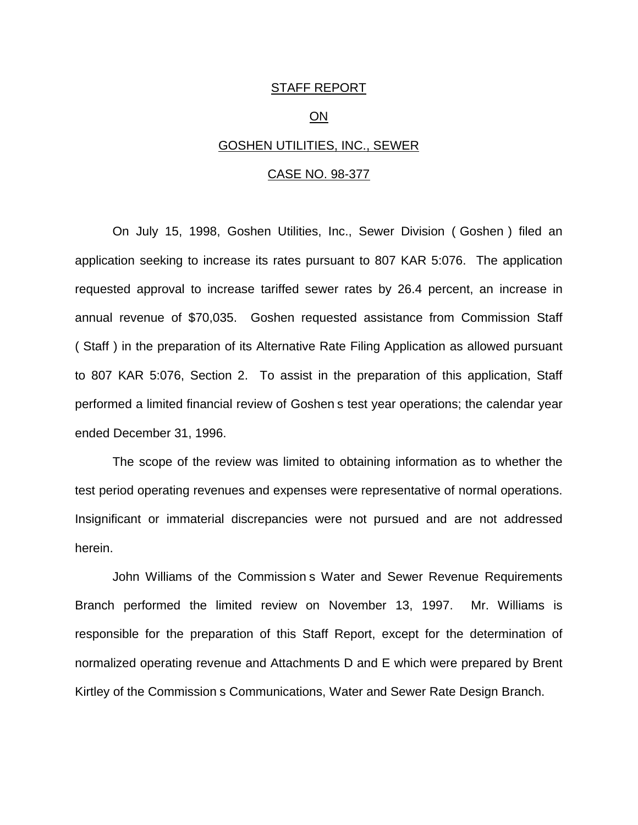#### STAFF REPORT

### ON

### GOSHEN UTILITIES, INC., SEWER

#### CASE NO. 98-377

On July 15, 1998, Goshen Utilities, Inc., Sewer Division ( Goshen ) filed an application seeking to increase its rates pursuant to 807 KAR 5:076. The application requested approval to increase tariffed sewer rates by 26.4 percent, an increase in annual revenue of \$70,035. Goshen requested assistance from Commission Staff ( Staff ) in the preparation of its Alternative Rate Filing Application as allowed pursuant to 807 KAR 5:076, Section 2. To assist in the preparation of this application, Staff performed a limited financial review of Goshen s test year operations; the calendar year ended December 31, 1996.

The scope of the review was limited to obtaining information as to whether the test period operating revenues and expenses were representative of normal operations. Insignificant or immaterial discrepancies were not pursued and are not addressed herein.

John Williams of the Commission s Water and Sewer Revenue Requirements Branch performed the limited review on November 13, 1997. Mr. Williams is responsible for the preparation of this Staff Report, except for the determination of normalized operating revenue and Attachments D and E which were prepared by Brent Kirtley of the Commission s Communications, Water and Sewer Rate Design Branch.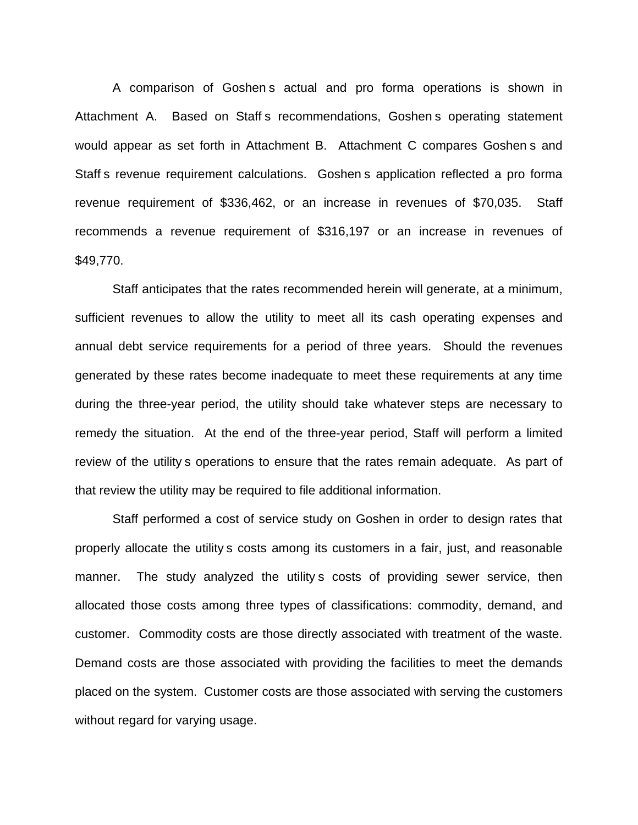A comparison of Goshen s actual and pro forma operations is shown in Attachment A. Based on Staff s recommendations, Goshen s operating statement would appear as set forth in Attachment B. Attachment C compares Goshen s and Staff s revenue requirement calculations. Goshen s application reflected a pro forma revenue requirement of \$336,462, or an increase in revenues of \$70,035. Staff recommends a revenue requirement of \$316,197 or an increase in revenues of \$49,770.

Staff anticipates that the rates recommended herein will generate, at a minimum, sufficient revenues to allow the utility to meet all its cash operating expenses and annual debt service requirements for a period of three years. Should the revenues generated by these rates become inadequate to meet these requirements at any time during the three-year period, the utility should take whatever steps are necessary to remedy the situation. At the end of the three-year period, Staff will perform a limited review of the utility s operations to ensure that the rates remain adequate. As part of that review the utility may be required to file additional information.

Staff performed a cost of service study on Goshen in order to design rates that properly allocate the utility s costs among its customers in a fair, just, and reasonable manner. The study analyzed the utility s costs of providing sewer service, then allocated those costs among three types of classifications: commodity, demand, and customer. Commodity costs are those directly associated with treatment of the waste. Demand costs are those associated with providing the facilities to meet the demands placed on the system. Customer costs are those associated with serving the customers without regard for varying usage.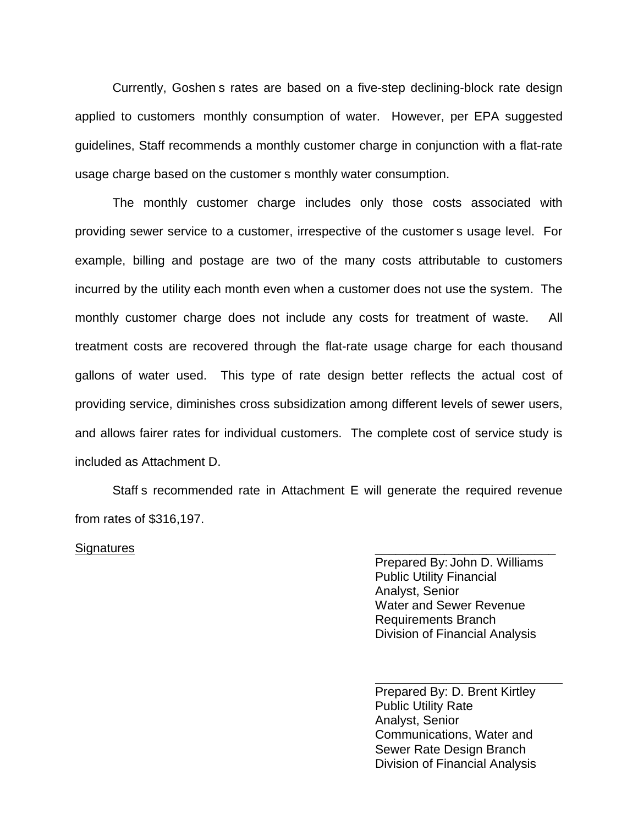Currently, Goshen s rates are based on a five-step declining-block rate design applied to customers monthly consumption of water. However, per EPA suggested guidelines, Staff recommends a monthly customer charge in conjunction with a flat-rate usage charge based on the customer s monthly water consumption.

The monthly customer charge includes only those costs associated with providing sewer service to a customer, irrespective of the customer s usage level. For example, billing and postage are two of the many costs attributable to customers incurred by the utility each month even when a customer does not use the system. The monthly customer charge does not include any costs for treatment of waste. All treatment costs are recovered through the flat-rate usage charge for each thousand gallons of water used. This type of rate design better reflects the actual cost of providing service, diminishes cross subsidization among different levels of sewer users, and allows fairer rates for individual customers. The complete cost of service study is included as Attachment D.

Staff s recommended rate in Attachment E will generate the required revenue from rates of \$316,197.

#### Signatures

Prepared By: John D. Williams Public Utility Financial Analyst, Senior Water and Sewer Revenue Requirements Branch Division of Financial Analysis

Prepared By: D. Brent Kirtley Public Utility Rate Analyst, Senior Communications, Water and Sewer Rate Design Branch Division of Financial Analysis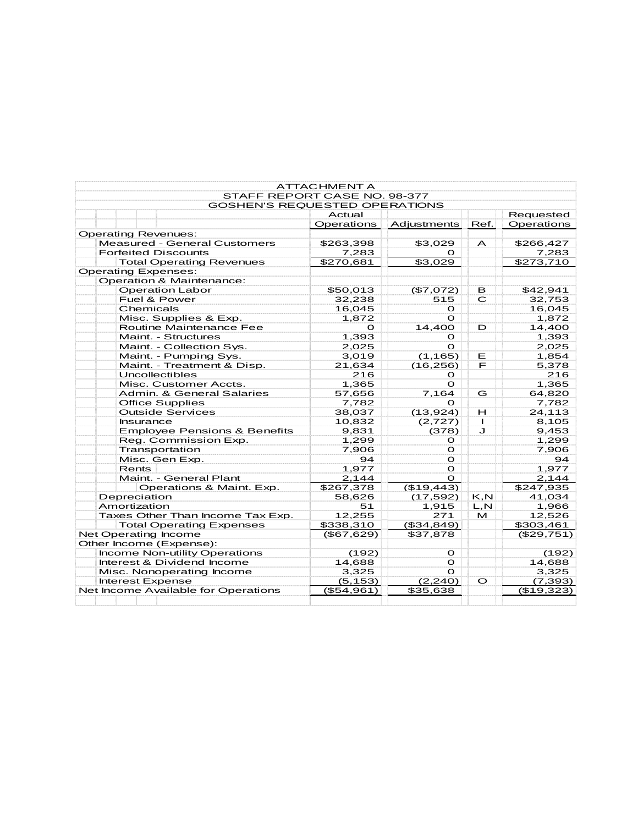| STAFF REPORT CASE NO. 98-377            | <b>ATTACHMENT A</b> |              |                |            |
|-----------------------------------------|---------------------|--------------|----------------|------------|
| <b>GOSHEN'S REQUESTED OPERATIONS</b>    |                     |              |                |            |
|                                         | Actual              |              |                | Requested  |
|                                         | Operations          | Adjustments  | Ref.           | Operations |
| <b>Operating Revenues:</b>              |                     |              |                |            |
| <b>Measured - General Customers</b>     | \$263,398           | \$3,029      | $\overline{A}$ | \$266,427  |
| <b>Forfeited Discounts</b>              | 7,283               | <sup>o</sup> |                | 7,283      |
| <b>Total Operating Revenues</b>         | \$270,681           | \$3,029      |                | \$273,710  |
| <b>Operating Expenses:</b>              |                     |              |                |            |
| Operation & Maintenance:                |                     |              |                |            |
| <b>Operation Labor</b>                  | \$50,013            | (\$7,072)    | в              | \$42,941   |
| Fuel & Power                            | 32,238              | 515          | C              | 32,753     |
| Chemicals                               | 16,045              | Ω            |                | 16,045     |
| Misc. Supplies & Exp.                   | 1,872               | $\mathbf{o}$ |                | 1,872      |
| Routine Maintenance Fee                 | О                   | 14,400       | D              | 14,400     |
| Maint. - Structures                     | 1,393               | Ω            |                | 1,393      |
| Maint. - Collection Sys.                | 2,025               | $\mathbf{o}$ |                | 2,025      |
| Maint. - Pumping Sys.                   | 3,019               | (1, 165)     | Е              | 1,854      |
| Maint. - Treatment & Disp.              | 21,634              | (16, 256)    | F              | 5,378      |
| Uncollectibles                          | 216                 | Ω            |                | 216        |
| Misc. Customer Accts.                   | 1,365               | $\mathbf{o}$ |                | 1,365      |
| Admin, & General Salaries               | 57,656              | 7,164        | G              | 64,820     |
| <b>Office Supplies</b>                  | 7,782               | Ω            |                | 7,782      |
| <b>Outside Services</b>                 | 38,037              | (13, 924)    | н              | 24,113     |
| Insurance                               | 10,832              | (2,727)      | $\blacksquare$ | 8,105      |
| <b>Employee Pensions &amp; Benefits</b> | 9,831               | (378)        | J              | 9,453      |
| Reg. Commission Exp.                    | 1,299               | O            |                | 1,299      |
| Transportation                          | 7,906               | $\Omega$     |                | 7,906      |
| Misc. Gen Exp.                          | 94                  | О            |                | 94         |
| <b>Rents</b>                            | 1,977               | Ω            |                | 1,977      |
| Maint. - General Plant                  | 2,144               | $\Omega$     |                | 2,144      |
| Operations & Maint. Exp.                | \$267,378           | (\$19,443)   |                | \$247,935  |
| Depreciation                            | 58,626              | (17, 592)    | K, N           | 41,034     |
| Amortization                            | 51                  | 1,915        | L, N           | 1,966      |
| Taxes Other Than Income Tax Exp.        | 12,255              | 271          | M              | 12,526     |
| <b>Total Operating Expenses</b>         | \$338,310           | (\$34,849)   |                | \$303,461  |
| Net Operating Income                    | (\$67,629)          | \$37,878     |                | (\$29,751) |
| Other Income (Expense):                 |                     |              |                |            |
| Income Non-utility Operations           | (192)               | О            |                | (192)      |
| Interest & Dividend Income              | 14,688              | $\mathbf{o}$ |                | 14,688     |
| Misc. Nonoperating Income               | 3,325               | Ω            |                | 3,325      |
| <b>Interest Expense</b>                 | (5, 153)            | (2, 240)     | $\circ$        | (7, 393)   |
| Net Income Available for Operations     | (\$54,961)          | \$35,638     |                | (\$19,323) |
|                                         |                     |              |                |            |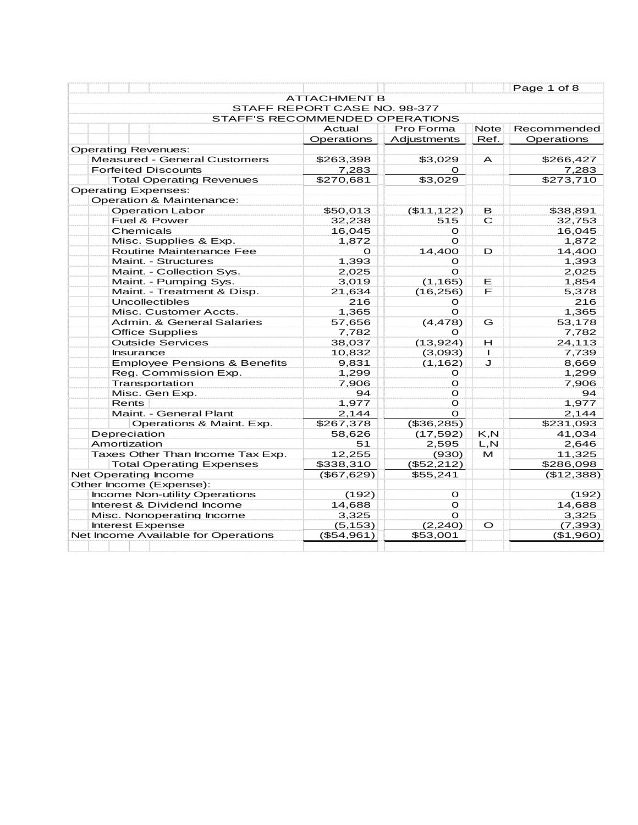|                                         |                                |                    |              | Page 1 of 8 |
|-----------------------------------------|--------------------------------|--------------------|--------------|-------------|
|                                         | <b>ATTACHMENT B</b>            |                    |              |             |
|                                         | STAFF REPORT CASE NO. 98-377   |                    |              |             |
|                                         | STAFF'S RECOMMENDED OPERATIONS |                    |              |             |
|                                         | Actual                         | Pro Forma          | <b>Note</b>  | Recommended |
|                                         | Operations                     | <b>Adjustments</b> | Ref.         | Operations  |
| <b>Operating Revenues:</b>              |                                |                    |              |             |
| <b>Measured - General Customers</b>     | \$263,398                      | \$3,029            | A            | \$266,427   |
| <b>Forfeited Discounts</b>              | 7,283                          | O                  |              | 7,283       |
| <b>Total Operating Revenues</b>         | \$270,681                      | \$3,029            |              | \$273,710   |
| <b>Operating Expenses:</b>              |                                |                    |              |             |
| Operation & Maintenance:                |                                |                    |              |             |
| <b>Operation Labor</b>                  | \$50,013                       | (\$11,122)         | в            | \$38,891    |
| Fuel & Power                            | 32,238                         | 515                | C            | 32,753      |
| Chemicals                               | 16,045                         | Ο                  |              | 16,045      |
| Misc. Supplies & Exp.                   | 1,872                          | $\mathbf{o}$       |              | 1,872       |
| Routine Maintenance Fee                 | $\mathbf{o}$                   | 14,400             | D            | 14,400      |
| Maint. - Structures                     | 1,393                          | Ο                  |              | 1,393       |
| Maint. - Collection Sys.                | 2,025                          | $\Omega$           |              | 2,025       |
| Maint. - Pumping Sys.                   | 3,019                          | (1, 165)           | Е            | 1,854       |
| Maint. - Treatment & Disp.              | 21,634                         | (16, 256)          | F            | 5,378       |
| Uncollectibles                          | 216                            | O                  |              | 216         |
| Misc. Customer Accts.                   | 1,365                          | $\Omega$           |              | 1,365       |
| Admin, & General Salaries               | 57,656                         | (4, 478)           | G            | 53,178      |
| <b>Office Supplies</b>                  | 7,782                          | Ο                  |              | 7,782       |
| <b>Outside Services</b>                 | 38,037                         | (13, 924)          | Н            | 24,113      |
| <b>Insurance</b>                        | 10,832                         | (3,093)            | $\mathbf{I}$ | 7,739       |
| <b>Employee Pensions &amp; Benefits</b> | 9,831                          | (1, 162)           | J            | 8,669       |
| Reg. Commission Exp.                    | 1,299                          | O                  |              | 1,299       |
| Transportation                          | 7,906                          | O                  |              | 7,906       |
| Misc. Gen Exp.                          | 94                             | $\mathbf{O}$       |              | 94          |
| Rents                                   | 1,977                          | $\mathbf{O}$       |              | 1,977       |
| Maint. - General Plant                  | 2,144                          | $\Omega$           |              | 2,144       |
| Operations & Maint. Exp.                | $\overline{$}267,378$          | $($ \$36,285)      |              | \$231,093   |
| Depreciation                            | 58,626                         | (17, 592)          | K, N         | 41,034      |
| Amortization                            | 51                             | 2,595              | L, N         | 2,646       |
| Taxes Other Than Income Tax Exp.        | 12,255                         | (930)              | м            | 11,325      |
| <b>Total Operating Expenses</b>         | \$338,310                      | (\$52,212)         |              | \$286,098   |
| <b>Net Operating Income</b>             | (\$67,629)                     | \$55,241           |              | (\$12,388)  |
| Other Income (Expense):                 |                                |                    |              |             |
| Income Non-utility Operations           | (192)                          | $\mathbf{O}$       |              | (192)       |
| Interest & Dividend Income              | 14,688                         | $\Omega$           |              | 14,688      |
| Misc. Nonoperating Income               | 3,325                          | $\Omega$           |              | 3,325       |
| <b>Interest Expense</b>                 | (5, 153)                       | (2, 240)           | $\circ$      | (7, 393)    |
| Net Income Available for Operations     | (\$54,961)                     | \$53,001           |              | (\$1,960)   |
|                                         |                                |                    |              |             |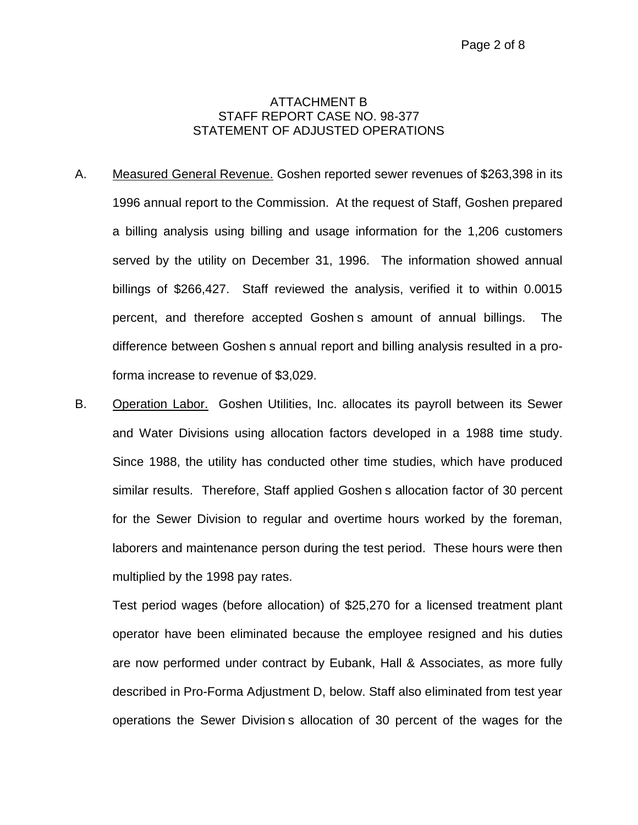### ATTACHMENT B STAFF REPORT CASE NO. 98-377 STATEMENT OF ADJUSTED OPERATIONS

- A. Measured General Revenue. Goshen reported sewer revenues of \$263,398 in its 1996 annual report to the Commission. At the request of Staff, Goshen prepared a billing analysis using billing and usage information for the 1,206 customers served by the utility on December 31, 1996. The information showed annual billings of \$266,427. Staff reviewed the analysis, verified it to within 0.0015 percent, and therefore accepted Goshen s amount of annual billings. The difference between Goshen s annual report and billing analysis resulted in a proforma increase to revenue of \$3,029.
- B. Operation Labor. Goshen Utilities, Inc. allocates its payroll between its Sewer and Water Divisions using allocation factors developed in a 1988 time study. Since 1988, the utility has conducted other time studies, which have produced similar results. Therefore, Staff applied Goshen s allocation factor of 30 percent for the Sewer Division to regular and overtime hours worked by the foreman, laborers and maintenance person during the test period. These hours were then multiplied by the 1998 pay rates.

Test period wages (before allocation) of \$25,270 for a licensed treatment plant operator have been eliminated because the employee resigned and his duties are now performed under contract by Eubank, Hall & Associates, as more fully described in Pro-Forma Adjustment D, below. Staff also eliminated from test year operations the Sewer Division s allocation of 30 percent of the wages for the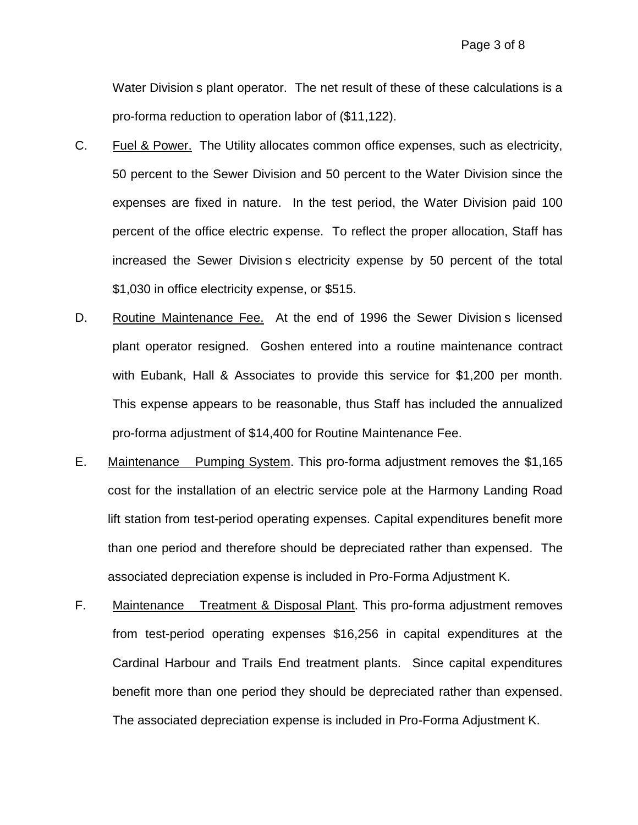Water Division s plant operator. The net result of these of these calculations is a pro-forma reduction to operation labor of (\$11,122).

- C. Fuel & Power. The Utility allocates common office expenses, such as electricity, 50 percent to the Sewer Division and 50 percent to the Water Division since the expenses are fixed in nature. In the test period, the Water Division paid 100 percent of the office electric expense. To reflect the proper allocation, Staff has increased the Sewer Division s electricity expense by 50 percent of the total \$1,030 in office electricity expense, or \$515.
- D. Routine Maintenance Fee. At the end of 1996 the Sewer Division s licensed plant operator resigned. Goshen entered into a routine maintenance contract with Eubank, Hall & Associates to provide this service for \$1,200 per month. This expense appears to be reasonable, thus Staff has included the annualized pro-forma adjustment of \$14,400 for Routine Maintenance Fee.
- E. Maintenance Pumping System. This pro-forma adjustment removes the \$1,165 cost for the installation of an electric service pole at the Harmony Landing Road lift station from test-period operating expenses. Capital expenditures benefit more than one period and therefore should be depreciated rather than expensed. The associated depreciation expense is included in Pro-Forma Adjustment K.
- F. Maintenance Treatment & Disposal Plant. This pro-forma adjustment removes from test-period operating expenses \$16,256 in capital expenditures at the Cardinal Harbour and Trails End treatment plants. Since capital expenditures benefit more than one period they should be depreciated rather than expensed. The associated depreciation expense is included in Pro-Forma Adjustment K.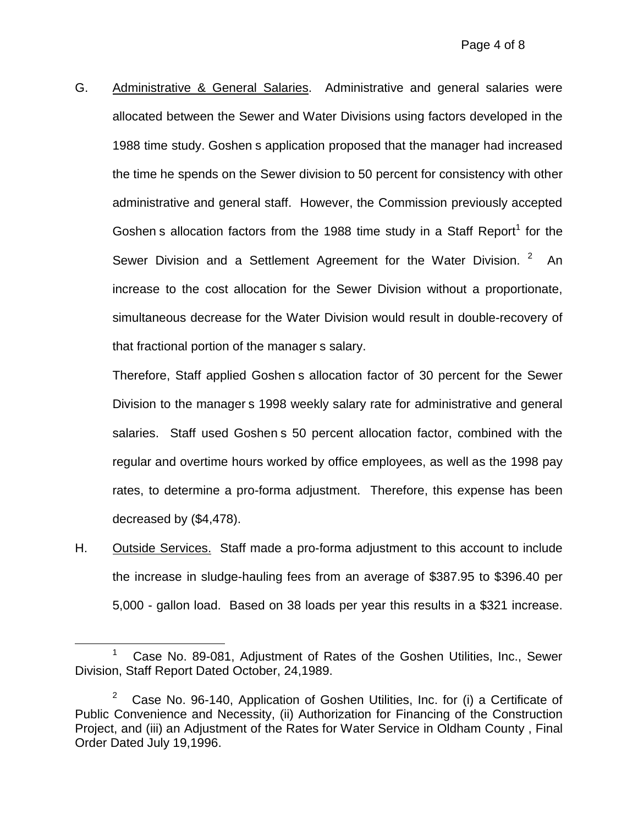G. Administrative & General Salaries. Administrative and general salaries were allocated between the Sewer and Water Divisions using factors developed in the 1988 time study. Goshen s application proposed that the manager had increased the time he spends on the Sewer division to 50 percent for consistency with other administrative and general staff. However, the Commission previously accepted Goshen s allocation factors from the 1988 time study in a Staff Report<sup>1</sup> for the Sewer Division and a Settlement Agreement for the Water Division. <sup>2</sup> An increase to the cost allocation for the Sewer Division without a proportionate, simultaneous decrease for the Water Division would result in double-recovery of that fractional portion of the manager s salary.

Therefore, Staff applied Goshen s allocation factor of 30 percent for the Sewer Division to the manager s 1998 weekly salary rate for administrative and general salaries. Staff used Goshen s 50 percent allocation factor, combined with the regular and overtime hours worked by office employees, as well as the 1998 pay rates, to determine a pro-forma adjustment. Therefore, this expense has been decreased by (\$4,478).

H. Outside Services. Staff made a pro-forma adjustment to this account to include the increase in sludge-hauling fees from an average of \$387.95 to \$396.40 per 5,000 - gallon load. Based on 38 loads per year this results in a \$321 increase.

<sup>&</sup>lt;sup>1</sup> Case No. 89-081, Adjustment of Rates of the Goshen Utilities, Inc., Sewer Division, Staff Report Dated October, 24,1989.

<sup>&</sup>lt;sup>2</sup> Case No. 96-140, Application of Goshen Utilities, Inc. for (i) a Certificate of Public Convenience and Necessity, (ii) Authorization for Financing of the Construction Project, and (iii) an Adjustment of the Rates for Water Service in Oldham County , Final Order Dated July 19,1996.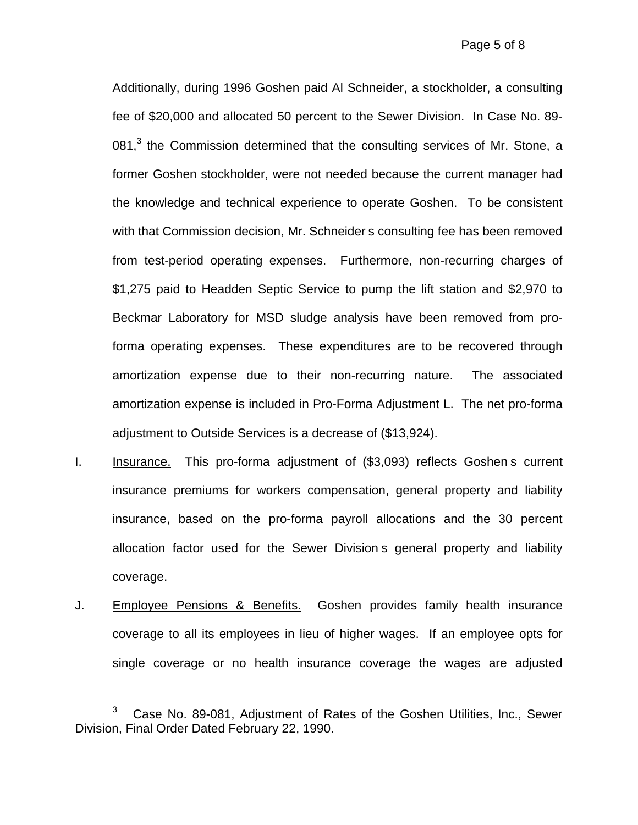Additionally, during 1996 Goshen paid Al Schneider, a stockholder, a consulting fee of \$20,000 and allocated 50 percent to the Sewer Division. In Case No. 89- 081, $3$  the Commission determined that the consulting services of Mr. Stone, a former Goshen stockholder, were not needed because the current manager had the knowledge and technical experience to operate Goshen. To be consistent with that Commission decision, Mr. Schneider s consulting fee has been removed from test-period operating expenses. Furthermore, non-recurring charges of \$1,275 paid to Headden Septic Service to pump the lift station and \$2,970 to Beckmar Laboratory for MSD sludge analysis have been removed from proforma operating expenses. These expenditures are to be recovered through amortization expense due to their non-recurring nature. The associated amortization expense is included in Pro-Forma Adjustment L. The net pro-forma adjustment to Outside Services is a decrease of (\$13,924).

- I. Insurance. This pro-forma adjustment of (\$3,093) reflects Goshen s current insurance premiums for workers compensation, general property and liability insurance, based on the pro-forma payroll allocations and the 30 percent allocation factor used for the Sewer Division s general property and liability coverage.
- J. Employee Pensions & Benefits. Goshen provides family health insurance coverage to all its employees in lieu of higher wages. If an employee opts for single coverage or no health insurance coverage the wages are adjusted

<sup>&</sup>lt;sup>3</sup> Case No. 89-081, Adjustment of Rates of the Goshen Utilities, Inc., Sewer Division, Final Order Dated February 22, 1990.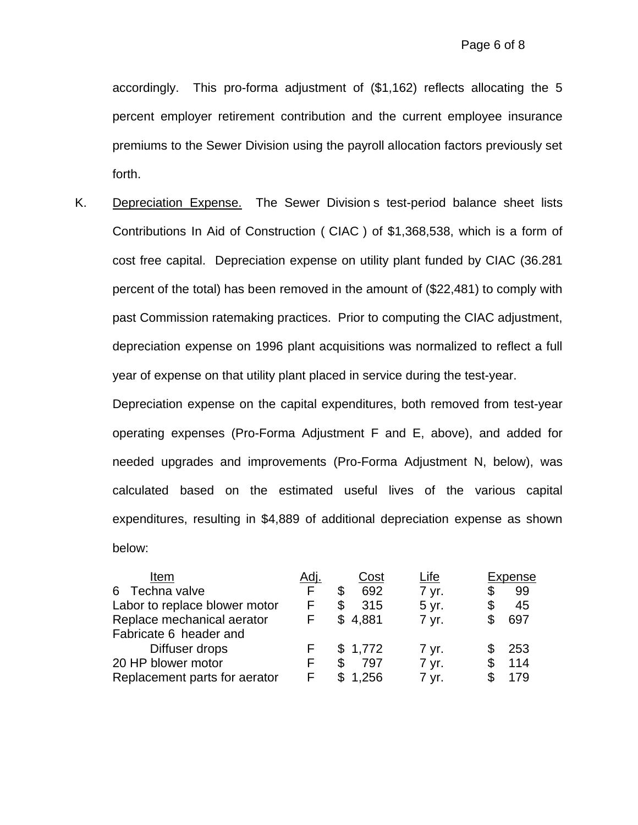accordingly. This pro-forma adjustment of (\$1,162) reflects allocating the 5 percent employer retirement contribution and the current employee insurance premiums to the Sewer Division using the payroll allocation factors previously set forth.

K. Depreciation Expense. The Sewer Division s test-period balance sheet lists Contributions In Aid of Construction ( CIAC ) of \$1,368,538, which is a form of cost free capital. Depreciation expense on utility plant funded by CIAC (36.281 percent of the total) has been removed in the amount of (\$22,481) to comply with past Commission ratemaking practices. Prior to computing the CIAC adjustment, depreciation expense on 1996 plant acquisitions was normalized to reflect a full year of expense on that utility plant placed in service during the test-year.

Depreciation expense on the capital expenditures, both removed from test-year operating expenses (Pro-Forma Adjustment F and E, above), and added for needed upgrades and improvements (Pro-Forma Adjustment N, below), was calculated based on the estimated useful lives of the various capital expenditures, resulting in \$4,889 of additional depreciation expense as shown below:

| Item                          | Adj. | Cost        | Life  | Expense  |
|-------------------------------|------|-------------|-------|----------|
| Techna valve<br>6             | F    | 692<br>\$   | 7 yr. | 99<br>\$ |
| Labor to replace blower motor |      | \$<br>315   | 5 yr. | 45<br>\$ |
| Replace mechanical aerator    | F    | \$4,881     | 7 yr. | 697      |
| Fabricate 6 header and        |      |             |       |          |
| Diffuser drops                |      | \$1,772     | 7 yr. | 253      |
| 20 HP blower motor            |      | S<br>797    | 7 yr. | 114      |
| Replacement parts for aerator |      | \$<br>1,256 | 7 yr. | 179      |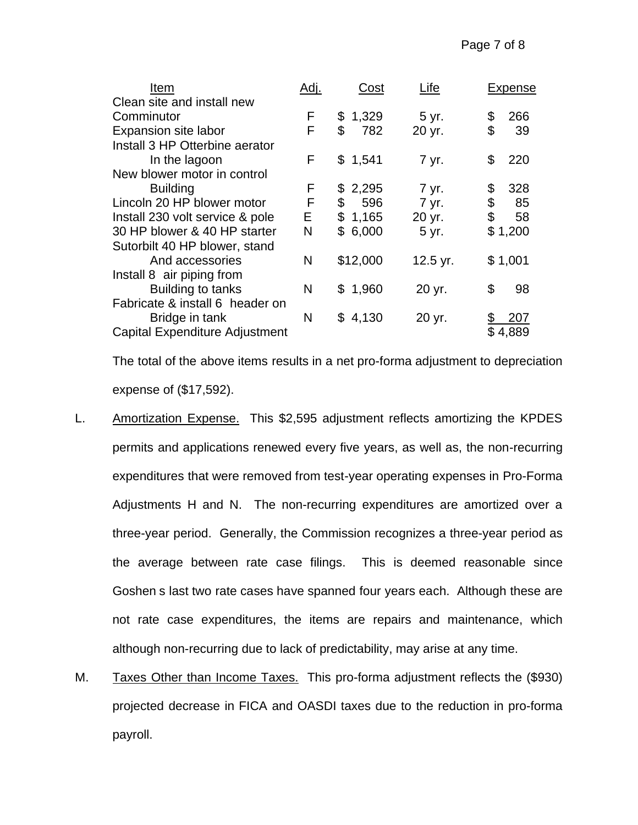| Item                                  | Adj. | Cost         | Life     | Expense   |
|---------------------------------------|------|--------------|----------|-----------|
| Clean site and install new            |      |              |          |           |
| Comminutor                            | F    | \$<br>1,329  | 5 yr.    | 266<br>\$ |
| Expansion site labor                  | F    | \$<br>782    | 20 yr.   | \$<br>39  |
| Install 3 HP Otterbine aerator        |      |              |          |           |
| In the lagoon                         | F    | \$1,541      | 7 yr.    | \$<br>220 |
| New blower motor in control           |      |              |          |           |
| <b>Building</b>                       | F    | 2,295<br>\$. | 7 yr.    | 328<br>\$ |
| Lincoln 20 HP blower motor            | F    | 596<br>\$    | 7 yr.    | \$<br>85  |
| Install 230 volt service & pole       | E.   | \$<br>1,165  | 20 yr.   | \$<br>58  |
| 30 HP blower & 40 HP starter          | N    | \$<br>6,000  | 5 yr.    | \$1,200   |
| Sutorbilt 40 HP blower, stand         |      |              |          |           |
| And accessories                       | N    | \$12,000     | 12.5 yr. | \$1,001   |
| Install 8 air piping from             |      |              |          |           |
| Building to tanks                     | N    | \$1,960      | 20 yr.   | \$<br>98  |
| Fabricate & install 6 header on       |      |              |          |           |
| Bridge in tank                        | N    | \$4,130      | 20 yr.   | 207       |
| <b>Capital Expenditure Adjustment</b> |      |              |          | \$4,889   |

The total of the above items results in a net pro-forma adjustment to depreciation expense of (\$17,592).

- L. Amortization Expense. This \$2,595 adjustment reflects amortizing the KPDES permits and applications renewed every five years, as well as, the non-recurring expenditures that were removed from test-year operating expenses in Pro-Forma Adjustments H and N. The non-recurring expenditures are amortized over a three-year period. Generally, the Commission recognizes a three-year period as the average between rate case filings. This is deemed reasonable since Goshen s last two rate cases have spanned four years each. Although these are not rate case expenditures, the items are repairs and maintenance, which although non-recurring due to lack of predictability, may arise at any time.
- M. Taxes Other than Income Taxes. This pro-forma adjustment reflects the (\$930) projected decrease in FICA and OASDI taxes due to the reduction in pro-forma payroll.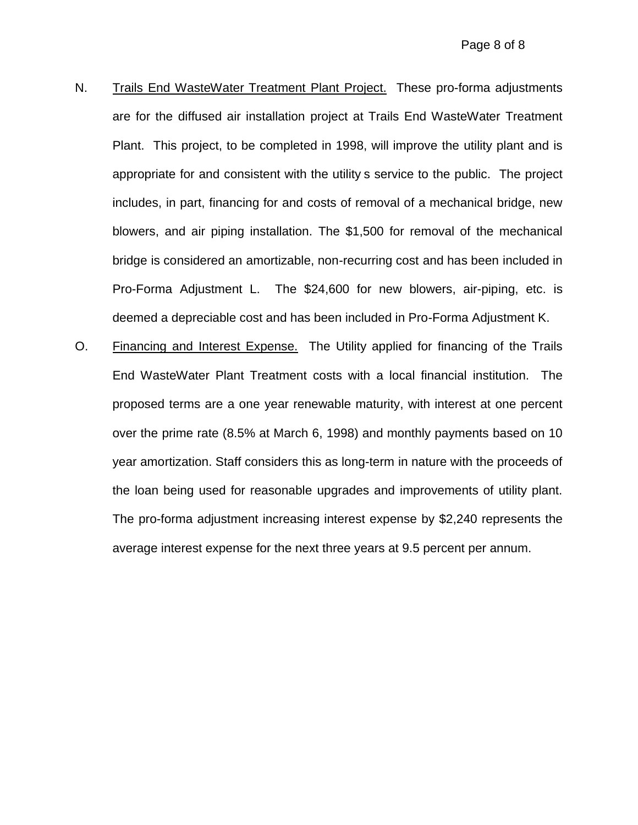- N. Trails End WasteWater Treatment Plant Project. These pro-forma adjustments are for the diffused air installation project at Trails End WasteWater Treatment Plant. This project, to be completed in 1998, will improve the utility plant and is appropriate for and consistent with the utility s service to the public. The project includes, in part, financing for and costs of removal of a mechanical bridge, new blowers, and air piping installation. The \$1,500 for removal of the mechanical bridge is considered an amortizable, non-recurring cost and has been included in Pro-Forma Adjustment L. The \$24,600 for new blowers, air-piping, etc. is deemed a depreciable cost and has been included in Pro-Forma Adjustment K.
- O. Financing and Interest Expense. The Utility applied for financing of the Trails End WasteWater Plant Treatment costs with a local financial institution. The proposed terms are a one year renewable maturity, with interest at one percent over the prime rate (8.5% at March 6, 1998) and monthly payments based on 10 year amortization. Staff considers this as long-term in nature with the proceeds of the loan being used for reasonable upgrades and improvements of utility plant. The pro-forma adjustment increasing interest expense by \$2,240 represents the average interest expense for the next three years at 9.5 percent per annum.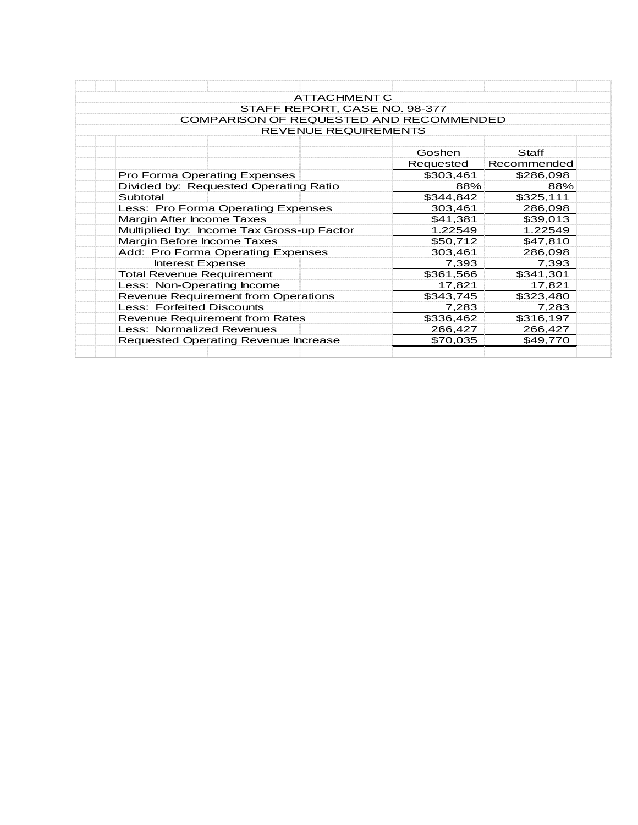| ATTACHMENT C                                   |           |             |
|------------------------------------------------|-----------|-------------|
| STAFF REPORT, CASE NO. 98-377                  |           |             |
| <b>COMPARISON OF REQUESTED AND RECOMMENDED</b> |           |             |
| <b>REVENUE REQUIREMENTS</b>                    |           |             |
|                                                |           |             |
|                                                | Goshen    | Staff       |
|                                                | Requested | Recommended |
| Pro Forma Operating Expenses                   | \$303,461 | \$286,098   |
| Divided by: Requested Operating Ratio          | 88%       | 88%         |
| Subtotal                                       | \$344,842 | \$325,111   |
| Less: Pro Forma Operating Expenses             | 303,461   | 286,098     |
| <b>Margin After Income Taxes</b>               | \$41,381  | \$39,013    |
| Multiplied by: Income Tax Gross-up Factor      | 1.22549   | 1.22549     |
| Margin Before Income Taxes                     | \$50,712  | \$47,810    |
| Add: Pro Forma Operating Expenses              | 303,461   | 286,098     |
| Interest Expense                               | 7,393     | 7,393       |
| <b>Total Revenue Requirement</b>               | \$361,566 | \$341,301   |
| Less: Non-Operating Income                     | 17,821    | 17,821      |
| <b>Revenue Requirement from Operations</b>     | \$343,745 | \$323,480   |
| <b>Less: Forfeited Discounts</b>               | 7.283     | 7,283       |
| <b>Revenue Requirement from Rates</b>          | \$336,462 | \$316,197   |
| Less: Normalized Revenues                      | 266,427   | 266,427     |
| Requested Operating Revenue Increase           | \$70,035  | \$49,770    |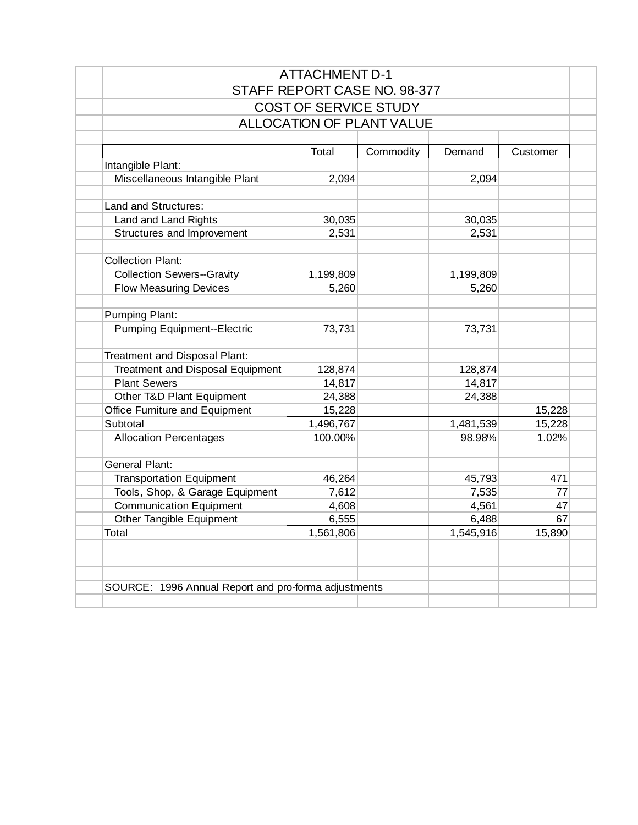|                                         | <b>ALLOCATION OF PLANT VALUE</b> |           |           |          |
|-----------------------------------------|----------------------------------|-----------|-----------|----------|
|                                         |                                  |           |           |          |
|                                         | Total                            | Commodity | Demand    | Customer |
| Intangible Plant:                       |                                  |           |           |          |
| Miscellaneous Intangible Plant          | 2,094                            |           | 2,094     |          |
| Land and Structures:                    |                                  |           |           |          |
| Land and Land Rights                    | 30,035                           |           | 30,035    |          |
| Structures and Improvement              | 2,531                            |           | 2,531     |          |
|                                         |                                  |           |           |          |
| <b>Collection Plant:</b>                |                                  |           |           |          |
| <b>Collection Sewers--Gravity</b>       | 1,199,809                        |           | 1,199,809 |          |
| <b>Flow Measuring Devices</b>           | 5,260                            |           | 5,260     |          |
| Pumping Plant:                          |                                  |           |           |          |
| <b>Pumping Equipment--Electric</b>      | 73,731                           |           | 73,731    |          |
| Treatment and Disposal Plant:           |                                  |           |           |          |
| <b>Treatment and Disposal Equipment</b> | 128,874                          |           | 128,874   |          |
| <b>Plant Sewers</b>                     | 14,817                           |           | 14,817    |          |
| Other T&D Plant Equipment               | 24,388                           |           | 24,388    |          |
| Office Furniture and Equipment          | 15,228                           |           |           | 15,228   |
| Subtotal                                | 1,496,767                        |           | 1,481,539 | 15,228   |
| <b>Allocation Percentages</b>           | 100.00%                          |           | 98.98%    | 1.02%    |
| <b>General Plant:</b>                   |                                  |           |           |          |
| <b>Transportation Equipment</b>         | 46,264                           |           | 45,793    | 471      |
| Tools, Shop, & Garage Equipment         | 7,612                            |           | 7,535     | 77       |
| <b>Communication Equipment</b>          | 4,608                            |           | 4,561     | 47       |
| Other Tangible Equipment                | 6,555                            |           | 6,488     | 67       |
| Total                                   | $\overline{1,561,806}$           |           | 1,545,916 | 15,890   |
|                                         |                                  |           |           |          |
|                                         |                                  |           |           |          |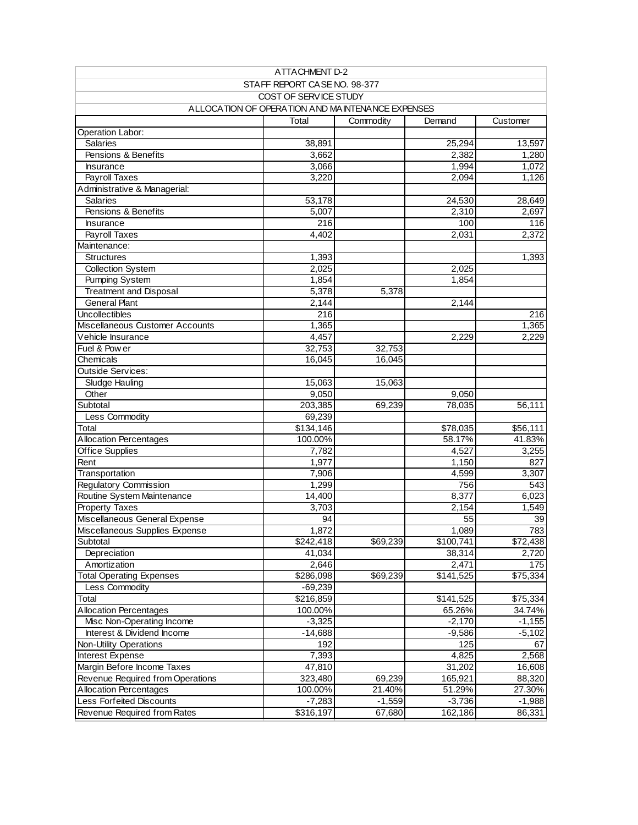| ATTACHMENT D-2                                   |                              |           |           |          |  |  |  |  |  |
|--------------------------------------------------|------------------------------|-----------|-----------|----------|--|--|--|--|--|
|                                                  | STAFF REPORT CASE NO. 98-377 |           |           |          |  |  |  |  |  |
|                                                  | COST OF SERVICE STUDY        |           |           |          |  |  |  |  |  |
| ALLOCATION OF OPERATION AND MAINTENANCE EXPENSES |                              |           |           |          |  |  |  |  |  |
|                                                  | Total                        | Commodity | Demand    | Customer |  |  |  |  |  |
| Operation Labor:                                 |                              |           |           |          |  |  |  |  |  |
| <b>Salaries</b>                                  | 38,891                       |           | 25,294    | 13,597   |  |  |  |  |  |
| Pensions & Benefits                              | 3,662                        |           | 2,382     | 1,280    |  |  |  |  |  |
| <b>Insurance</b>                                 | 3,066                        |           | 1,994     | 1,072    |  |  |  |  |  |
| Payroll Taxes                                    | 3,220                        |           | 2,094     | 1,126    |  |  |  |  |  |
| Administrative & Managerial:                     |                              |           |           |          |  |  |  |  |  |
| <b>Salaries</b>                                  | 53,178                       |           | 24,530    | 28,649   |  |  |  |  |  |
| Pensions & Benefits                              | 5,007                        |           | 2,310     | 2,697    |  |  |  |  |  |
| Insurance                                        | 216                          |           | 100       | 116      |  |  |  |  |  |
| Payroll Taxes                                    | 4,402                        |           | 2,031     | 2,372    |  |  |  |  |  |
| Maintenance:                                     |                              |           |           |          |  |  |  |  |  |
| <b>Structures</b>                                | 1,393                        |           |           | 1,393    |  |  |  |  |  |
| <b>Collection System</b>                         | 2,025                        |           | 2,025     |          |  |  |  |  |  |
| <b>Pumping System</b>                            | 1,854                        |           | 1,854     |          |  |  |  |  |  |
| <b>Treatment and Disposal</b>                    | 5,378                        | 5,378     |           |          |  |  |  |  |  |
| <b>General Plant</b>                             | 2,144                        |           | 2,144     |          |  |  |  |  |  |
| Uncollectibles                                   | 216                          |           |           | 216      |  |  |  |  |  |
| Miscellaneous Customer Accounts                  | 1,365                        |           |           | 1,365    |  |  |  |  |  |
| Vehicle Insurance                                | 4,457                        |           | 2,229     | 2,229    |  |  |  |  |  |
| Fuel & Pow er                                    | 32,753                       | 32,753    |           |          |  |  |  |  |  |
| Chemicals                                        | 16,045                       | 16,045    |           |          |  |  |  |  |  |
| <b>Outside Services:</b>                         |                              |           |           |          |  |  |  |  |  |
| Sludge Hauling                                   | 15,063                       | 15,063    |           |          |  |  |  |  |  |
| Other                                            | 9,050                        |           | 9,050     |          |  |  |  |  |  |
| Subtotal                                         | 203,385                      | 69,239    | 78,035    | 56,111   |  |  |  |  |  |
| Less Commodity                                   | 69,239                       |           |           |          |  |  |  |  |  |
| Total                                            | \$134,146                    |           | \$78,035  | \$56,111 |  |  |  |  |  |
| <b>Allocation Percentages</b>                    | 100.00%                      |           | 58.17%    | 41.83%   |  |  |  |  |  |
| <b>Office Supplies</b>                           | 7,782                        |           | 4,527     | 3,255    |  |  |  |  |  |
| Rent                                             | 1,977                        |           | 1,150     | 827      |  |  |  |  |  |
| Transportation                                   | 7,906                        |           | 4,599     | 3,307    |  |  |  |  |  |
| Regulatory Commission                            | 1,299                        |           | 756       | 543      |  |  |  |  |  |
| Routine System Maintenance                       | 14,400                       |           | 8,377     | 6,023    |  |  |  |  |  |
| <b>Property Taxes</b>                            | 3,703                        |           | 2,154     | 1,549    |  |  |  |  |  |
| Miscellaneous General Expense                    | 94                           |           | 55        | 39       |  |  |  |  |  |
| Miscellaneous Supplies Expense                   | 1,872                        |           | 1,089     | 783      |  |  |  |  |  |
| Subtotal                                         | \$242,418                    | \$69,239  | \$100,741 | \$72,438 |  |  |  |  |  |
| Depreciation                                     | 41,034                       |           | 38,314    | 2,720    |  |  |  |  |  |
| Amortization                                     | 2,646                        |           | 2,471     | 175      |  |  |  |  |  |
| <b>Total Operating Expenses</b>                  | \$286,098                    | \$69,239  | \$141,525 | \$75,334 |  |  |  |  |  |
| Less Commodity                                   | $-69,239$                    |           |           |          |  |  |  |  |  |
| Total                                            | \$216,859                    |           | \$141,525 | \$75,334 |  |  |  |  |  |
| <b>Allocation Percentages</b>                    | 100.00%                      |           | 65.26%    | 34.74%   |  |  |  |  |  |
| Misc Non-Operating Income                        | $-3,325$                     |           | $-2,170$  | $-1,155$ |  |  |  |  |  |
| Interest & Dividend Income                       | $-14,688$                    |           | $-9,586$  | $-5,102$ |  |  |  |  |  |
| <b>Non-Utility Operations</b>                    | 192                          |           | 125       | 67       |  |  |  |  |  |
| Interest Expense                                 | 7,393                        |           | 4,825     | 2,568    |  |  |  |  |  |
| Margin Before Income Taxes                       | 47,810                       |           | 31,202    | 16,608   |  |  |  |  |  |
| Revenue Required from Operations                 | 323,480                      | 69,239    | 165,921   | 88,320   |  |  |  |  |  |
| <b>Allocation Percentages</b>                    | 100.00%                      | 21.40%    | 51.29%    | 27.30%   |  |  |  |  |  |
| Less Forfeited Discounts                         | $-7,283$                     | $-1,559$  | $-3,736$  | $-1,988$ |  |  |  |  |  |
| Revenue Required from Rates                      | \$316,197                    | 67,680    | 162,186   | 86,331   |  |  |  |  |  |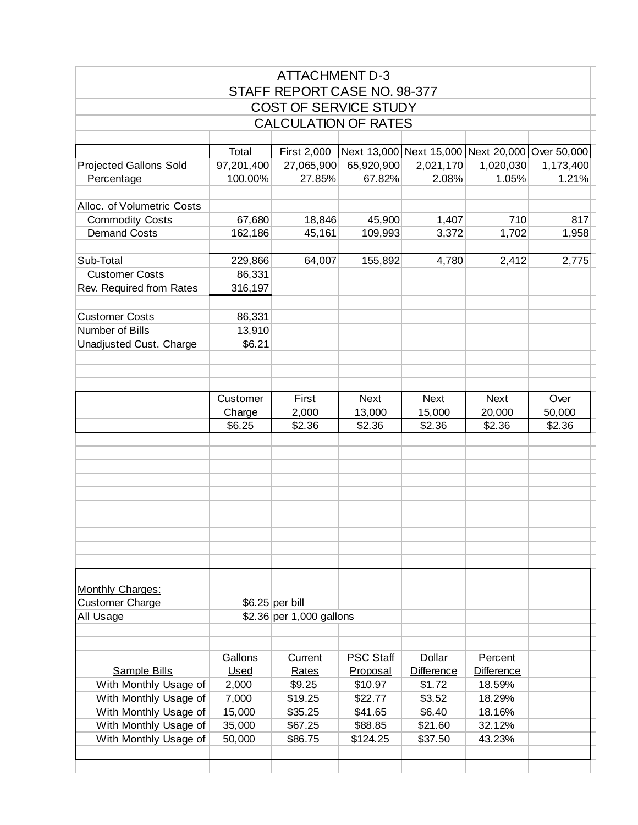|                                                |                  | <b>ATTACHMENT D-3</b>        |                                                 |                    |                  |           |
|------------------------------------------------|------------------|------------------------------|-------------------------------------------------|--------------------|------------------|-----------|
|                                                |                  | STAFF REPORT CASE NO. 98-377 |                                                 |                    |                  |           |
|                                                |                  | <b>COST OF SERVICE STUDY</b> |                                                 |                    |                  |           |
|                                                |                  | <b>CALCULATION OF RATES</b>  |                                                 |                    |                  |           |
|                                                |                  |                              |                                                 |                    |                  |           |
|                                                | Total            | First 2,000                  | Next 13,000 Next 15,000 Next 20,000 Over 50,000 |                    |                  |           |
| <b>Projected Gallons Sold</b>                  | 97,201,400       | 27,065,900                   | 65,920,900                                      | 2,021,170          | 1,020,030        | 1,173,400 |
| Percentage                                     | 100.00%          | 27.85%                       | 67.82%                                          | 2.08%              | 1.05%            | 1.21%     |
| Alloc. of Volumetric Costs                     |                  |                              |                                                 |                    |                  |           |
| <b>Commodity Costs</b>                         | 67,680           | 18,846                       | 45,900                                          | 1,407              | 710              | 817       |
| <b>Demand Costs</b>                            | 162,186          | 45,161                       | 109,993                                         | 3,372              | 1,702            | 1,958     |
|                                                |                  |                              |                                                 |                    |                  |           |
| Sub-Total                                      | 229,866          | 64,007                       | 155,892                                         | 4,780              | 2,412            | 2,775     |
| <b>Customer Costs</b>                          | 86,331           |                              |                                                 |                    |                  |           |
| Rev. Required from Rates                       | 316,197          |                              |                                                 |                    |                  |           |
|                                                |                  |                              |                                                 |                    |                  |           |
| <b>Customer Costs</b>                          | 86,331           |                              |                                                 |                    |                  |           |
| Number of Bills                                | 13,910           |                              |                                                 |                    |                  |           |
| Unadjusted Cust. Charge                        | \$6.21           |                              |                                                 |                    |                  |           |
|                                                |                  |                              |                                                 |                    |                  |           |
|                                                |                  |                              |                                                 |                    |                  |           |
|                                                |                  |                              |                                                 |                    |                  |           |
|                                                | Customer         | First                        | <b>Next</b>                                     | <b>Next</b>        | <b>Next</b>      | Over      |
|                                                | Charge           | 2,000                        | 13,000                                          | 15,000             | 20,000           | 50,000    |
|                                                | \$6.25           | \$2.36                       | \$2.36                                          | \$2.36             | \$2.36           | \$2.36    |
|                                                |                  |                              |                                                 |                    |                  |           |
|                                                |                  |                              |                                                 |                    |                  |           |
|                                                |                  |                              |                                                 |                    |                  |           |
|                                                |                  |                              |                                                 |                    |                  |           |
|                                                |                  |                              |                                                 |                    |                  |           |
|                                                |                  |                              |                                                 |                    |                  |           |
|                                                |                  |                              |                                                 |                    |                  |           |
|                                                |                  |                              |                                                 |                    |                  |           |
|                                                |                  |                              |                                                 |                    |                  |           |
|                                                |                  |                              |                                                 |                    |                  |           |
| Monthly Charges:                               |                  |                              |                                                 |                    |                  |           |
| <b>Customer Charge</b>                         |                  | $$6.25$ per bill             |                                                 |                    |                  |           |
| All Usage                                      |                  | \$2.36 per 1,000 gallons     |                                                 |                    |                  |           |
|                                                |                  |                              |                                                 |                    |                  |           |
|                                                |                  |                              |                                                 |                    |                  |           |
|                                                | Gallons          | Current                      | <b>PSC Staff</b>                                | <b>Dollar</b>      | Percent          |           |
| Sample Bills                                   | Used             | Rates                        | Proposal                                        | <b>Difference</b>  | Difference       |           |
| With Monthly Usage of                          | 2,000            | \$9.25                       | \$10.97                                         | \$1.72             | 18.59%           |           |
| With Monthly Usage of                          | 7,000            | \$19.25                      | \$22.77                                         | \$3.52             | 18.29%           |           |
| With Monthly Usage of                          | 15,000           | \$35.25<br>\$67.25           | \$41.65                                         | \$6.40             | 18.16%<br>32.12% |           |
| With Monthly Usage of<br>With Monthly Usage of | 35,000<br>50,000 | \$86.75                      | \$88.85<br>\$124.25                             | \$21.60<br>\$37.50 | 43.23%           |           |
|                                                |                  |                              |                                                 |                    |                  |           |
|                                                |                  |                              |                                                 |                    |                  |           |
|                                                |                  |                              |                                                 |                    |                  |           |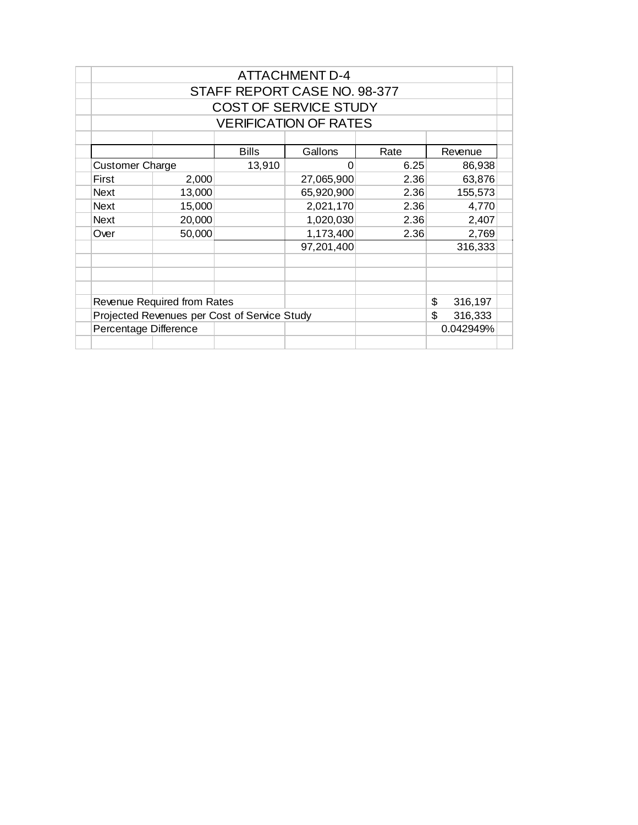| <b>ATTACHMENT D-4</b>        |                             |                                              |            |      |                |  |  |  |  |  |
|------------------------------|-----------------------------|----------------------------------------------|------------|------|----------------|--|--|--|--|--|
| STAFF REPORT CASE NO. 98-377 |                             |                                              |            |      |                |  |  |  |  |  |
| <b>COST OF SERVICE STUDY</b> |                             |                                              |            |      |                |  |  |  |  |  |
| <b>VERIFICATION OF RATES</b> |                             |                                              |            |      |                |  |  |  |  |  |
|                              |                             |                                              |            |      |                |  |  |  |  |  |
|                              |                             | <b>Bills</b>                                 | Gallons    | Rate | Revenue        |  |  |  |  |  |
| <b>Customer Charge</b>       |                             | 13,910                                       | ი          | 6.25 | 86,938         |  |  |  |  |  |
| First                        | 2,000                       |                                              | 27,065,900 | 2.36 | 63,876         |  |  |  |  |  |
| <b>Next</b>                  | 13,000                      |                                              | 65,920,900 | 2.36 | 155,573        |  |  |  |  |  |
| <b>Next</b>                  | 15,000                      |                                              | 2,021,170  | 2.36 | 4,770          |  |  |  |  |  |
| 20,000<br><b>Next</b>        |                             |                                              | 1,020,030  | 2.36 | 2,407          |  |  |  |  |  |
| Over                         | 50,000                      |                                              | 1,173,400  | 2.36 | 2,769          |  |  |  |  |  |
|                              |                             |                                              | 97,201,400 |      | 316,333        |  |  |  |  |  |
|                              |                             |                                              |            |      |                |  |  |  |  |  |
|                              |                             |                                              |            |      |                |  |  |  |  |  |
|                              |                             |                                              |            |      |                |  |  |  |  |  |
|                              | Revenue Required from Rates |                                              |            |      | \$<br>316,197  |  |  |  |  |  |
|                              |                             | Projected Revenues per Cost of Service Study |            |      | \$.<br>316,333 |  |  |  |  |  |
| Percentage Difference        |                             |                                              |            |      | 0.042949%      |  |  |  |  |  |
|                              |                             |                                              |            |      |                |  |  |  |  |  |